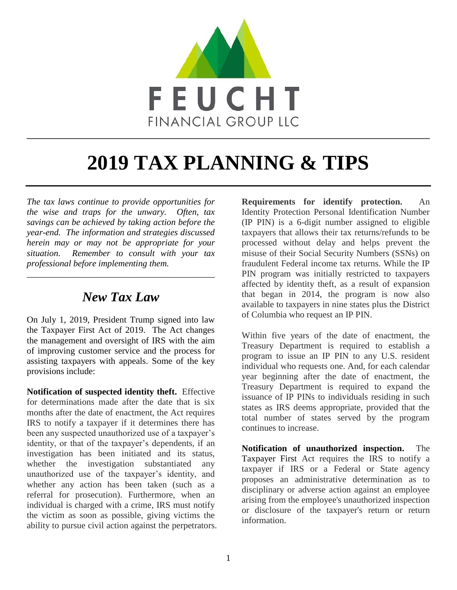

# **2019 TAX PLANNING & TIPS**

*The tax laws continue to provide opportunities for the wise and traps for the unwary. Often, tax savings can be achieved by taking action before the year-end. The information and strategies discussed herein may or may not be appropriate for your situation. Remember to consult with your tax professional before implementing them.* 

#### *New Tax Law*

\_\_\_\_\_\_\_\_\_\_\_\_\_\_\_\_\_\_\_\_\_\_\_\_\_\_\_\_\_\_\_\_\_\_\_\_\_\_\_\_\_\_

On July 1, 2019, President Trump signed into law the Taxpayer First Act of 2019. The Act changes the management and oversight of IRS with the aim of improving customer service and the process for assisting taxpayers with appeals. Some of the key provisions include:

**Notification of suspected identity theft.** Effective for determinations made after the date that is six months after the date of enactment, the Act requires IRS to notify a taxpayer if it determines there has been any suspected unauthorized use of a taxpayer's identity, or that of the taxpayer's dependents, if an investigation has been initiated and its status, whether the investigation substantiated any unauthorized use of the taxpayer's identity, and whether any action has been taken (such as a referral for prosecution). Furthermore, when an individual is charged with a crime, IRS must notify the victim as soon as possible, giving victims the ability to pursue civil action against the perpetrators. **Requirements for identify protection.** An Identity Protection Personal Identification Number (IP PIN) is a 6-digit number assigned to eligible taxpayers that allows their tax returns/refunds to be processed without delay and helps prevent the misuse of their Social Security Numbers (SSNs) on fraudulent Federal income tax returns. While the IP PIN program was initially restricted to taxpayers affected by identity theft, as a result of expansion that began in 2014, the program is now also available to taxpayers in nine states plus the District of Columbia who request an IP PIN.

Within five years of the date of enactment, the Treasury Department is required to establish a program to issue an IP PIN to any U.S. resident individual who requests one. And, for each calendar year beginning after the date of enactment, the Treasury Department is required to expand the issuance of IP PINs to individuals residing in such states as IRS deems appropriate, provided that the total number of states served by the program continues to increase.

**Notification of unauthorized inspection.** The Taxpayer First Act requires the IRS to notify a taxpayer if IRS or a Federal or State agency proposes an administrative determination as to disciplinary or adverse action against an employee arising from the employee's unauthorized inspection or disclosure of the taxpayer's return or return information.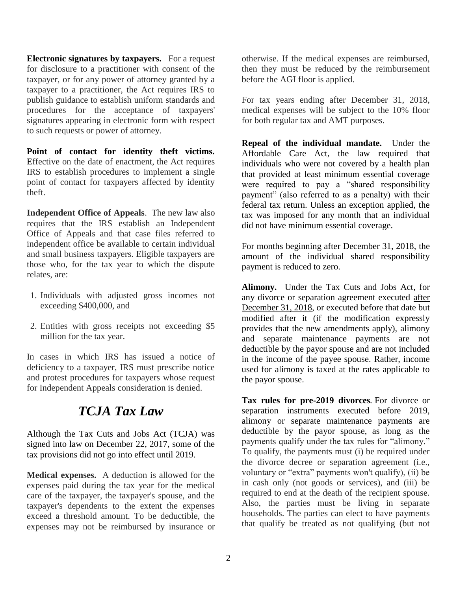**Electronic signatures by taxpayers.** For a request for disclosure to a practitioner with consent of the taxpayer, or for any power of attorney granted by a taxpayer to a practitioner, the Act requires IRS to publish guidance to establish uniform standards and procedures for the acceptance of taxpayers' signatures appearing in electronic form with respect to such requests or power of attorney.

**Point of contact for identity theft victims.**  Effective on the date of enactment, the Act requires IRS to establish procedures to implement a single point of contact for taxpayers affected by identity theft.

**Independent Office of Appeals**. The new law also requires that the IRS establish an Independent Office of Appeals and that case files referred to independent office be available to certain individual and small business taxpayers. Eligible taxpayers are those who, for the tax year to which the dispute relates, are:

- 1. Individuals with adjusted gross incomes not exceeding \$400,000, and
- 2. Entities with gross receipts not exceeding \$5 million for the tax year.

In cases in which IRS has issued a notice of deficiency to a taxpayer, IRS must prescribe notice and protest procedures for taxpayers whose request for Independent Appeals consideration is denied.

## *TCJA Tax Law*

Although the Tax Cuts and Jobs Act (TCJA) was signed into law on December 22, 2017, some of the tax provisions did not go into effect until 2019.

**Medical expenses.** A deduction is allowed for the expenses paid during the tax year for the medical care of the taxpayer, the taxpayer's spouse, and the taxpayer's dependents to the extent the expenses exceed a threshold amount. To be deductible, the expenses may not be reimbursed by insurance or otherwise. If the medical expenses are reimbursed, then they must be reduced by the reimbursement before the AGI floor is applied.

For tax years ending after December 31, 2018, medical expenses will be subject to the 10% floor for both regular tax and AMT purposes.

**Repeal of the individual mandate.** Under the Affordable Care Act, the law required that individuals who were not covered by a health plan that provided at least minimum essential coverage were required to pay a "shared responsibility payment" (also referred to as a penalty) with their federal tax return. Unless an exception applied, the tax was imposed for any month that an individual did not have minimum essential coverage.

For months beginning after December 31, 2018, the amount of the individual shared responsibility payment is reduced to zero.

**Alimony.** Under the Tax Cuts and Jobs Act, for any divorce or separation agreement executed after December 31, 2018, or executed before that date but modified after it (if the modification expressly provides that the new amendments apply), alimony and separate maintenance payments are not deductible by the payor spouse and are not included in the income of the payee spouse. Rather, income used for alimony is taxed at the rates applicable to the payor spouse.

**Tax rules for pre-2019 divorces***.* For divorce or separation instruments executed before 2019, alimony or separate maintenance payments are deductible by the payor spouse, as long as the payments qualify under the tax rules for "alimony." To qualify, the payments must (i) be required under the divorce decree or separation agreement (i.e., voluntary or "extra" payments won't qualify), (ii) be in cash only (not goods or services), and (iii) be required to end at the death of the recipient spouse. Also, the parties must be living in separate households. The parties can elect to have payments that qualify be treated as not qualifying (but not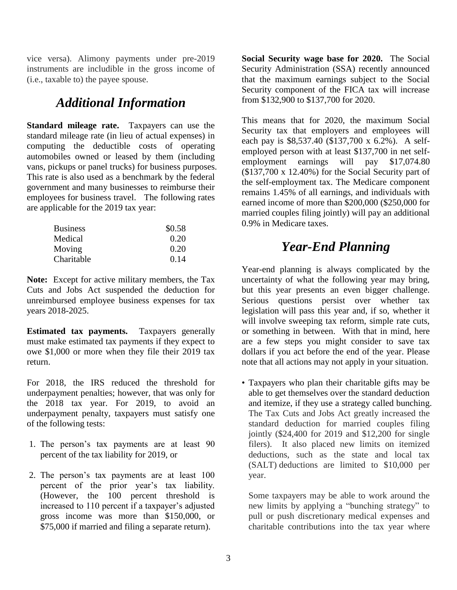vice versa). Alimony payments under pre-2019 instruments are includible in the gross income of (i.e., taxable to) the payee spouse.

### *Additional Information*

**Standard mileage rate.** Taxpayers can use the standard mileage rate (in lieu of actual expenses) in computing the deductible costs of operating automobiles owned or leased by them (including vans, pickups or panel trucks) for business purposes. This rate is also used as a benchmark by the federal government and many businesses to reimburse their employees for business travel. The following rates are applicable for the 2019 tax year:

| <b>Business</b> | \$0.58 |
|-----------------|--------|
| Medical         | 0.20   |
| Moving          | 0.20   |
| Charitable      | 0.14   |

**Note:** Except for active military members, the Tax Cuts and Jobs Act suspended the deduction for unreimbursed employee business expenses for tax years 2018-2025.

**Estimated tax payments.** Taxpayers generally must make estimated tax payments if they expect to owe \$1,000 or more when they file their 2019 tax return.

For 2018, the IRS reduced the threshold for underpayment penalties; however, that was only for the 2018 tax year. For 2019, to avoid an underpayment penalty, taxpayers must satisfy one of the following tests:

- 1. The person's tax payments are at least 90 percent of the tax liability for 2019, or
- 2. The person's tax payments are at least 100 percent of the prior year's tax liability. (However, the 100 percent threshold is increased to 110 percent if a taxpayer's adjusted gross income was more than \$150,000, or \$75,000 if married and filing a separate return).

**Social Security wage base for 2020.** The Social Security Administration (SSA) recently announced that the maximum earnings subject to the Social Security component of the FICA tax will increase from \$132,900 to \$137,700 for 2020.

This means that for 2020, the maximum Social Security tax that employers and employees will each pay is \$8,537.40 (\$137,700 x 6.2%). A selfemployed person with at least \$137,700 in net selfemployment earnings will pay \$17,074.80 (\$137,700 x 12.40%) for the Social Security part of the self-employment tax. The Medicare component remains 1.45% of all earnings, and individuals with earned income of more than \$200,000 (\$250,000 for married couples filing jointly) will pay an additional 0.9% in Medicare taxes.

### *Year-End Planning*

Year-end planning is always complicated by the uncertainty of what the following year may bring, but this year presents an even bigger challenge. Serious questions persist over whether tax legislation will pass this year and, if so, whether it will involve sweeping tax reform, simple rate cuts, or something in between. With that in mind, here are a few steps you might consider to save tax dollars if you act before the end of the year. Please note that all actions may not apply in your situation.

• Taxpayers who plan their charitable gifts may be able to get themselves over the standard deduction and itemize, if they use a strategy called bunching. The Tax Cuts and Jobs Act greatly increased the standard deduction for married couples filing jointly (\$24,400 for 2019 and \$12,200 for single filers). It also placed new limits on itemized deductions, such as the state and local tax (SALT) deductions are limited to \$10,000 per year.

Some taxpayers may be able to work around the new limits by applying a "bunching strategy" to pull or push discretionary medical expenses and charitable contributions into the tax year where